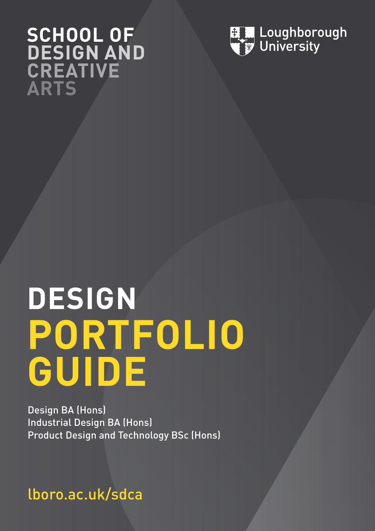# **SCHOOL OF DESIGN AND CREATIVE ARTS**



# **DESIGN PORTFOLIO GUIDE**

Design BA (Hons) Industrial Design BA (Hons) Product Design and Technology BSc (Hons)

lboro.ac.uk/sdca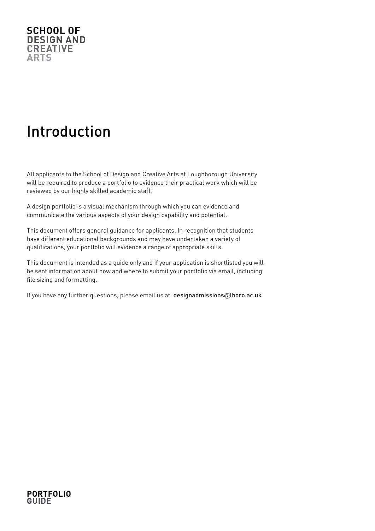

# Introduction

All applicants to the School of Design and Creative Arts at Loughborough University will be required to produce a portfolio to evidence their practical work which will be reviewed by our highly skilled academic staff.

A design portfolio is a visual mechanism through which you can evidence and communicate the various aspects of your design capability and potential.

This document offers general guidance for applicants. In recognition that students have different educational backgrounds and may have undertaken a variety of qualifications, your portfolio will evidence a range of appropriate skills.

This document is intended as a guide only and if your application is shortlisted you will be sent information about how and where to submit your portfolio via email, including file sizing and formatting.

If you have any further questions, please email us at: designadmissions@lboro.ac.uk

#### **PORTFOLIO GUIDE**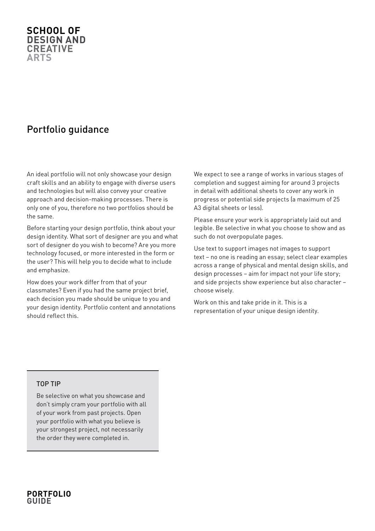#### **SCHOOL OF DESIGN AND CREATIVE ARTS**

## Portfolio guidance

An ideal portfolio will not only showcase your design craft skills and an ability to engage with diverse users and technologies but will also convey your creative approach and decision-making processes. There is only one of you, therefore no two portfolios should be the same.

Before starting your design portfolio, think about your design identity. What sort of designer are you and what sort of designer do you wish to become? Are you more technology focused, or more interested in the form or the user? This will help you to decide what to include and emphasize.

How does your work differ from that of your classmates? Even if you had the same project brief, each decision you made should be unique to you and your design identity. Portfolio content and annotations should reflect this.

We expect to see a range of works in various stages of completion and suggest aiming for around 3 projects in detail with additional sheets to cover any work in progress or potential side projects (a maximum of 25 A3 digital sheets or less).

Please ensure your work is appropriately laid out and legible. Be selective in what you choose to show and as such do not overpopulate pages.

Use text to support images not images to support text – no one is reading an essay; select clear examples across a range of physical and mental design skills, and design processes – aim for impact not your life story; and side projects show experience but also character – choose wisely.

Work on this and take pride in it. This is a representation of your unique design identity.

#### TOP TIP

Be selective on what you showcase and don't simply cram your portfolio with all of your work from past projects. Open your portfolio with what you believe is your strongest project, not necessarily the order they were completed in.

#### **PORTFOLIO GUIDE**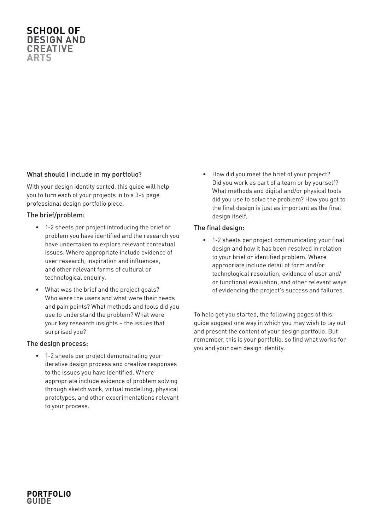#### **SCHOOL OF DESIGN AND CREATIVE ARTS**

#### What should I include in my portfolio?

With your design identity sorted, this guide will help you to turn each of your projects in to a 3-6 page professional design portfolio piece.

#### The brief/problem:

- 1-2 sheets per project introducing the brief or problem you have identified and the research you have undertaken to explore relevant contextual issues. Where appropriate include evidence of user research, inspiration and influences, and other relevant forms of cultural or technological enquiry.
- What was the brief and the project goals? Who were the users and what were their needs and pain points? What methods and tools did you use to understand the problem? What were your key research insights – the issues that surprised you?

#### The design process:

• 1-2 sheets per project demonstrating your iterative design process and creative responses to the issues you have identified. Where appropriate include evidence of problem solving through sketch work, virtual modelling, physical prototypes, and other experimentations relevant to your process.

• How did you meet the brief of your project? Did you work as part of a team or by yourself? What methods and digital and/or physical tools did you use to solve the problem? How you got to the final design is just as important as the final design itself.

#### The final design:

• 1-2 sheets per project communicating your final design and how it has been resolved in relation to your brief or identified problem. Where appropriate include detail of form and/or technological resolution, evidence of user and/ or functional evaluation, and other relevant ways of evidencing the project's success and failures.

To help get you started, the following pages of this guide suggest one way in which you may wish to lay out and present the content of your design portfolio. But remember, this is your portfolio, so find what works for you and your own design identity.

#### **PORTFOLIO GUIDE**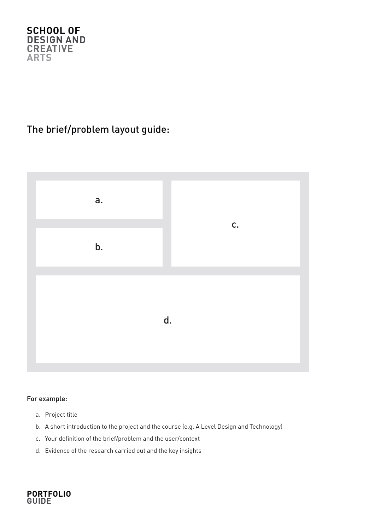

## The brief/problem layout guide:



#### For example:

- a. Project title
- b. A short introduction to the project and the course (e.g. A Level Design and Technology)
- c. Your definition of the brief/problem and the user/context
- d. Evidence of the research carried out and the key insights

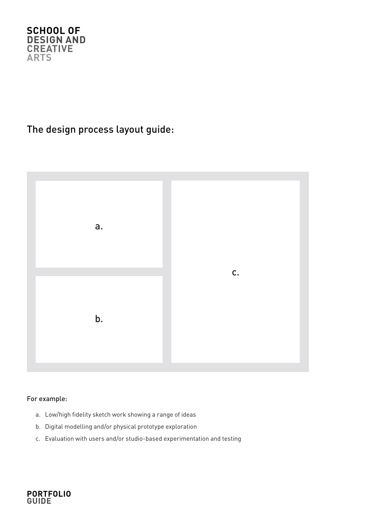

## The design process layout guide:



#### For example:

- a. Low/high fidelity sketch work showing a range of ideas
- b. Digital modelling and/or physical prototype exploration
- c. Evaluation with users and/or studio-based experimentation and testing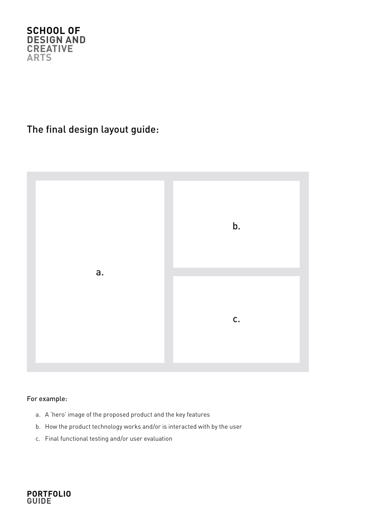

## The final design layout guide:



#### For example:

- a. A 'hero' image of the proposed product and the key features
- b. How the product technology works and/or is interacted with by the user
- c. Final functional testing and/or user evaluation